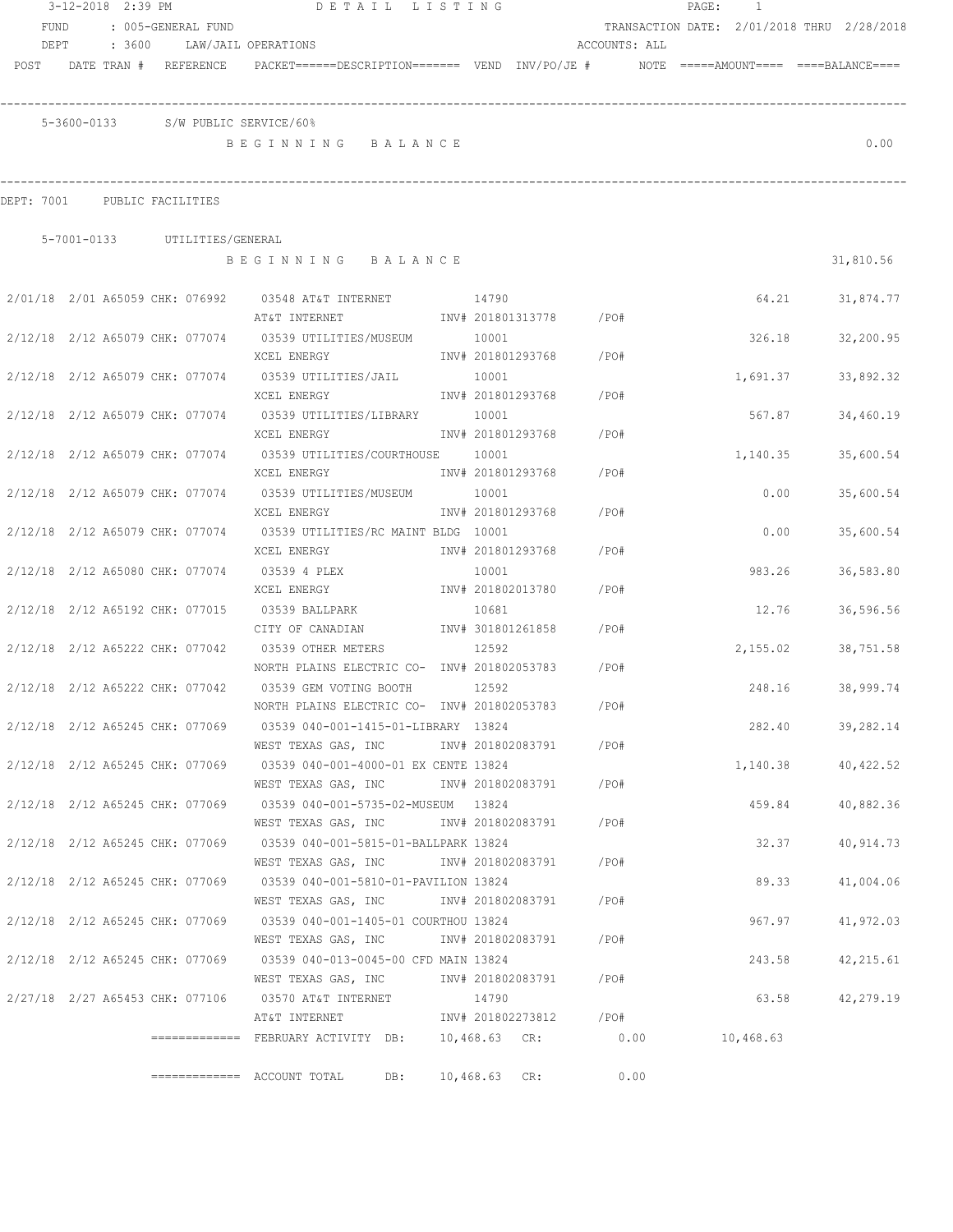|            | 3-12-2018 2:39 PM               |                    | DETAIL LISTING                                                                              |                 |                        |               | PAGE: | $\overline{1}$ |                                            |
|------------|---------------------------------|--------------------|---------------------------------------------------------------------------------------------|-----------------|------------------------|---------------|-------|----------------|--------------------------------------------|
| FUND       |                                 | : 005-GENERAL FUND |                                                                                             |                 |                        |               |       |                | TRANSACTION DATE: 2/01/2018 THRU 2/28/2018 |
| DEPT       |                                 |                    | : 3600 LAW/JAIL OPERATIONS                                                                  |                 |                        | ACCOUNTS: ALL |       |                |                                            |
|            | POST DATE TRAN # REFERENCE      |                    | PACKET======DESCRIPTION=======  VEND  INV/PO/JE #     NOTE =====AMOUNT====  ====BALANCE==== |                 |                        |               |       |                |                                            |
|            |                                 |                    |                                                                                             |                 |                        |               |       |                |                                            |
|            |                                 |                    |                                                                                             |                 |                        |               |       |                |                                            |
|            |                                 |                    | 5-3600-0133 S/W PUBLIC SERVICE/60%                                                          |                 |                        |               |       |                |                                            |
|            |                                 |                    | BEGINNING BALANCE                                                                           |                 |                        |               |       |                | 0.00                                       |
|            |                                 |                    |                                                                                             |                 |                        |               |       |                |                                            |
| DEPT: 7001 |                                 | PUBLIC FACILITIES  |                                                                                             |                 |                        |               |       |                |                                            |
|            | 5-7001-0133 UTILITIES/GENERAL   |                    |                                                                                             |                 |                        |               |       |                |                                            |
|            |                                 |                    | BEGINNING BALANCE                                                                           |                 |                        |               |       |                | 31,810.56                                  |
|            |                                 |                    |                                                                                             |                 |                        |               |       |                |                                            |
|            |                                 |                    | 2/01/18  2/01  A65059  CHK: 076992  03548  AT&T INTERNET                      14790         |                 |                        |               |       | 64.21          | 31,874.77                                  |
|            |                                 |                    | AT&T INTERNET                                                                               |                 | INV# 201801313778 /PO# |               |       |                |                                            |
|            |                                 |                    | 2/12/18  2/12  A65079  CHK:  077074  03539  UTILITIES/MUSEUM                                | 10001           |                        |               |       | 326.18         | 32,200.95                                  |
|            |                                 |                    | XCEL ENERGY                                                                                 |                 | INV# 201801293768      | $/$ PO#       |       |                |                                            |
|            |                                 |                    | 2/12/18  2/12  A65079  CHK:  077074  03539  UTILITIES/JAIL                                  | 10001           |                        |               |       | 1,691.37       | 33,892.32                                  |
|            |                                 |                    | XCEL ENERGY                                                                                 |                 | INV# 201801293768      | /PO#          |       |                |                                            |
|            |                                 |                    | 2/12/18 2/12 A65079 CHK: 077074 03539 UTILITIES/LIBRARY 10001                               |                 |                        |               |       | 567.87         | 34,460.19                                  |
|            |                                 |                    | XCEL ENERGY                                                                                 |                 | INV# 201801293768      | /PO#          |       |                |                                            |
|            |                                 |                    | 2/12/18 2/12 A65079 CHK: 077074 03539 UTILITIES/COURTHOUSE 10001                            |                 |                        |               |       | 1,140.35       | 35,600.54                                  |
|            |                                 |                    | XCEL ENERGY                                                                                 |                 | INV# 201801293768      | /PO#          |       |                |                                            |
|            |                                 |                    |                                                                                             |                 |                        |               |       |                |                                            |
|            | 2/12/18 2/12 A65079 CHK: 077074 |                    | 03539 UTILITIES/MUSEUM<br>XCEL ENERGY                                                       | 10001           | INV# 201801293768      | /PO#          |       | 0.00           | 35,600.54                                  |
|            |                                 |                    |                                                                                             |                 |                        |               |       |                |                                            |
|            | 2/12/18 2/12 A65079 CHK: 077074 |                    | 03539 UTILITIES/RC MAINT BLDG 10001                                                         |                 |                        |               |       | 0.00           | 35,600.54                                  |
|            |                                 |                    | XCEL ENERGY                                                                                 |                 | INV# 201801293768      | /PO#          |       |                |                                            |
|            | 2/12/18 2/12 A65080 CHK: 077074 |                    | 03539 4 PLEX                                                                                | 10001           |                        |               |       | 983.26         | 36,583.80                                  |
|            |                                 |                    | XCEL ENERGY                                                                                 |                 | INV# 201802013780      | /PO#          |       |                |                                            |
|            | 2/12/18 2/12 A65192 CHK: 077015 |                    | 03539 BALLPARK                                                                              | 10681           |                        |               |       | 12.76          | 36,596.56                                  |
|            |                                 |                    | CITY OF CANADIAN                                                                            |                 | INV# 301801261858      | /PO#          |       |                |                                            |
|            | 2/12/18 2/12 A65222 CHK: 077042 |                    | 03539 OTHER METERS                                                                          | 12592           |                        |               |       | 2,155.02       | 38,751.58                                  |
|            |                                 |                    | NORTH PLAINS ELECTRIC CO- INV# 201802053783 /PO#                                            |                 |                        |               |       |                |                                            |
|            | 2/12/18 2/12 A65222 CHK: 077042 |                    | 03539 GEM VOTING BOOTH                                                                      | 12592           |                        |               |       | 248.16         | 38,999.74                                  |
|            |                                 |                    | NORTH PLAINS ELECTRIC CO- INV# 201802053783                                                 |                 |                        | /PO#          |       |                |                                            |
|            | 2/12/18 2/12 A65245 CHK: 077069 |                    | 03539 040-001-1415-01-LIBRARY 13824                                                         |                 |                        |               |       | 282.40         | 39,282.14                                  |
|            |                                 |                    | WEST TEXAS GAS, INC                                                                         |                 | INV# 201802083791      | / PO#         |       |                |                                            |
|            |                                 |                    | 2/12/18 2/12 A65245 CHK: 077069 03539 040-001-4000-01 EX CENTE 13824                        |                 |                        |               |       |                | 1,140.38 40,422.52                         |
|            |                                 |                    | WEST TEXAS GAS, INC                                                                         |                 | INV# 201802083791      | /PO#          |       |                |                                            |
|            | 2/12/18 2/12 A65245 CHK: 077069 |                    | 03539  040-001-5735-02-MUSEUM  13824                                                        |                 |                        |               |       | 459.84         | 40,882.36                                  |
|            |                                 |                    | WEST TEXAS GAS, INC                                                                         |                 | INV# 201802083791      | /PO#          |       |                |                                            |
|            | 2/12/18 2/12 A65245 CHK: 077069 |                    | 03539 040-001-5815-01-BALLPARK 13824                                                        |                 |                        |               |       | 32.37          | 40,914.73                                  |
|            |                                 |                    | WEST TEXAS GAS, INC                                                                         |                 | INV# 201802083791      | /PO#          |       |                |                                            |
|            | 2/12/18 2/12 A65245 CHK: 077069 |                    | 03539 040-001-5810-01-PAVILION 13824                                                        |                 |                        |               |       | 89.33          | 41,004.06                                  |
|            |                                 |                    | WEST TEXAS GAS, INC                                                                         |                 | INV# 201802083791      | /PO#          |       |                |                                            |
|            | 2/12/18 2/12 A65245 CHK: 077069 |                    | 03539 040-001-1405-01 COURTHOU 13824                                                        |                 |                        |               |       | 967.97         | 41,972.03                                  |
|            |                                 |                    | WEST TEXAS GAS, INC                                                                         |                 | INV# 201802083791      | /PO#          |       |                |                                            |
|            | 2/12/18 2/12 A65245 CHK: 077069 |                    | 03539 040-013-0045-00 CFD MAIN 13824                                                        |                 |                        |               |       | 243.58         | 42,215.61                                  |
|            |                                 |                    | WEST TEXAS GAS, INC                                                                         |                 | INV# 201802083791      | /PO#          |       |                |                                            |
|            | 2/27/18 2/27 A65453 CHK: 077106 |                    | 03570 AT&T INTERNET                                                                         | 14790           |                        |               |       | 63.58          | 42,279.19                                  |
|            |                                 |                    | AT&T INTERNET                                                                               |                 | INV# 201802273812 /PO# |               |       |                |                                            |
|            |                                 |                    | ============= FEBRUARY ACTIVITY DB: 10,468.63 CR: 0.00                                      |                 |                        |               |       | 10,468.63      |                                            |
|            |                                 |                    |                                                                                             |                 |                        |               |       |                |                                            |
|            |                                 |                    | DB:                                                                                         | $10,468.63$ CR: |                        | 0.00          |       |                |                                            |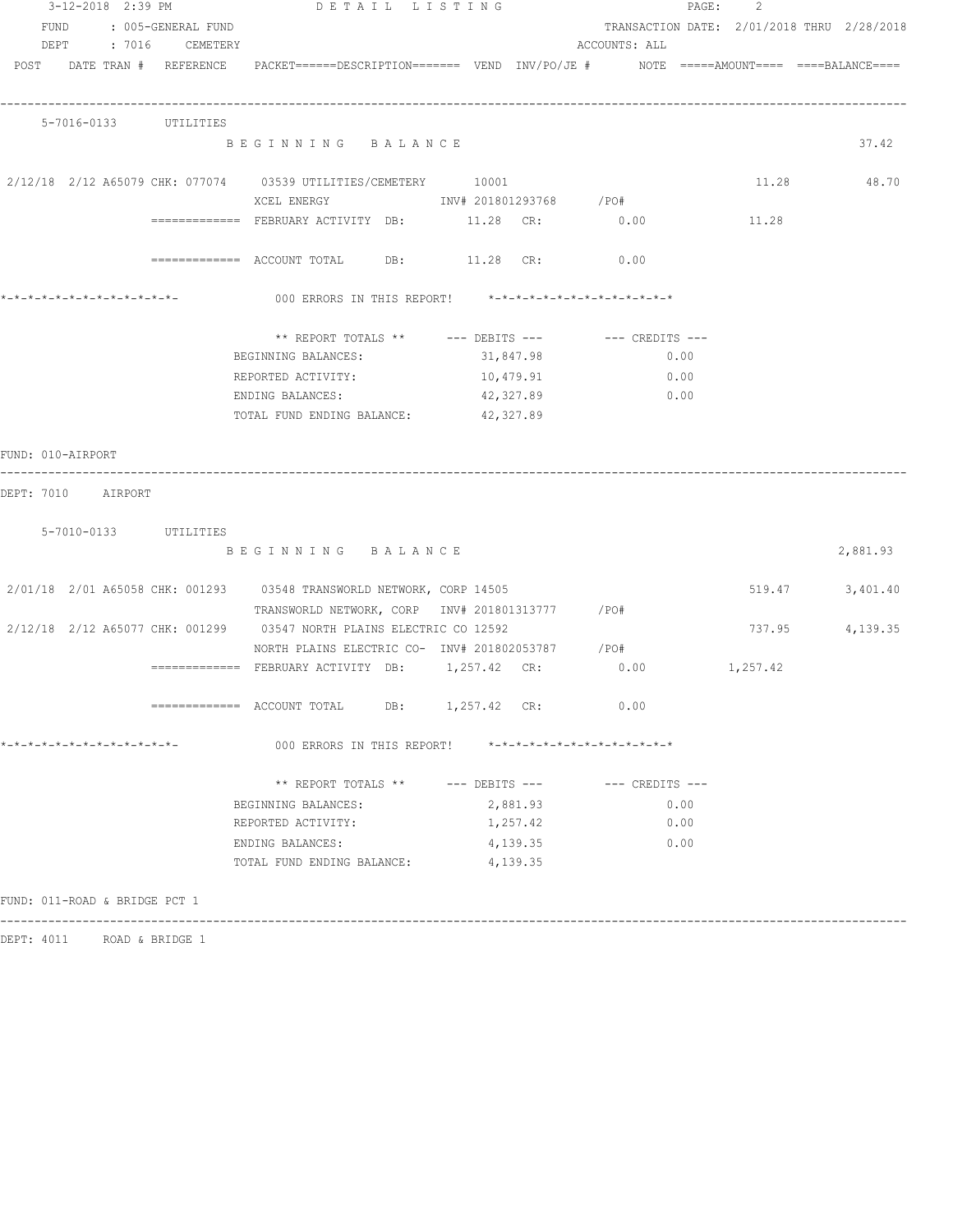|                               |  | 3-12-2018 2:39 PM       | DETAIL LISTING                                                                                                  |                        |           |               |      | PAGE:<br>-2 |                                            |
|-------------------------------|--|-------------------------|-----------------------------------------------------------------------------------------------------------------|------------------------|-----------|---------------|------|-------------|--------------------------------------------|
|                               |  | FUND : 005-GENERAL FUND |                                                                                                                 |                        |           |               |      |             | TRANSACTION DATE: 2/01/2018 THRU 2/28/2018 |
|                               |  | DEPT : 7016 CEMETERY    |                                                                                                                 |                        |           | ACCOUNTS: ALL |      |             |                                            |
|                               |  |                         | POST DATE TRAN # REFERENCE PACKET======DESCRIPTION======= VEND INV/PO/JE # NOTE =====AMOUNT==== ====BALANCE==== |                        |           |               |      |             |                                            |
|                               |  |                         |                                                                                                                 |                        |           |               |      |             |                                            |
|                               |  |                         |                                                                                                                 |                        |           |               |      |             |                                            |
|                               |  | 5-7016-0133 UTILITIES   |                                                                                                                 |                        |           |               |      |             |                                            |
|                               |  |                         | BEGINNING BALANCE                                                                                               |                        |           |               |      |             | 37.42                                      |
|                               |  |                         |                                                                                                                 |                        |           |               |      |             |                                            |
|                               |  |                         | 2/12/18 2/12 A65079 CHK: 077074 03539 UTILITIES/CEMETERY 10001                                                  |                        |           |               |      |             | 11.28 48.70                                |
|                               |  |                         | XCEL ENERGY                                                                                                     | INV# 201801293768 /PO# |           |               |      |             |                                            |
|                               |  |                         |                                                                                                                 |                        |           |               |      | 11.28       |                                            |
|                               |  |                         |                                                                                                                 |                        |           |               |      |             |                                            |
|                               |  |                         | ============ ACCOUNT TOTAL DB: 11.28 CR: 0.00                                                                   |                        |           |               |      |             |                                            |
|                               |  |                         |                                                                                                                 |                        |           |               |      |             |                                            |
|                               |  |                         |                                                                                                                 |                        |           |               |      |             |                                            |
|                               |  |                         |                                                                                                                 |                        |           |               |      |             |                                            |
|                               |  |                         | BEGINNING BALANCES:                                                                                             |                        | 31,847.98 |               | 0.00 |             |                                            |
|                               |  |                         | REPORTED ACTIVITY:                                                                                              |                        | 10,479.91 |               | 0.00 |             |                                            |
|                               |  |                         | ENDING BALANCES:                                                                                                |                        | 42,327.89 |               | 0.00 |             |                                            |
|                               |  |                         | TOTAL FUND ENDING BALANCE:                                                                                      | 42,327.89              |           |               |      |             |                                            |
|                               |  |                         |                                                                                                                 |                        |           |               |      |             |                                            |
| FUND: 010-AIRPORT             |  |                         |                                                                                                                 |                        |           |               |      |             |                                            |
|                               |  |                         |                                                                                                                 |                        |           |               |      |             |                                            |
| DEPT: 7010 AIRPORT            |  |                         |                                                                                                                 |                        |           |               |      |             |                                            |
|                               |  |                         |                                                                                                                 |                        |           |               |      |             |                                            |
|                               |  | 5-7010-0133 UTILITIES   |                                                                                                                 |                        |           |               |      |             |                                            |
|                               |  |                         | BEGINNING BALANCE                                                                                               |                        |           |               |      |             | 2,881.93                                   |
|                               |  |                         | 2/01/18  2/01  A65058  CHK: 001293  03548  TRANSWORLD NETWORK, CORP  14505                                      |                        |           |               |      |             | 519.47 3,401.40                            |
|                               |  |                         | TRANSWORLD NETWORK, CORP INV# 201801313777 / PO#                                                                |                        |           |               |      |             |                                            |
|                               |  |                         | 2/12/18 2/12 A65077 CHK: 001299 03547 NORTH PLAINS ELECTRIC CO 12592                                            |                        |           |               |      |             | 737.95 4,139.35                            |
|                               |  |                         |                                                                                                                 |                        |           |               |      |             |                                            |
|                               |  |                         | NORTH PLAINS ELECTRIC CO- INV# 201802053787 / PO#                                                               |                        |           | 0.00          |      |             |                                            |
|                               |  |                         |                                                                                                                 |                        |           |               |      | 1,257.42    |                                            |
|                               |  |                         | ============= ACCOUNT TOTAL DB: 1,257.42 CR: 0.00                                                               |                        |           |               |      |             |                                            |
|                               |  |                         |                                                                                                                 |                        |           |               |      |             |                                            |
| *-*-*-*-*-*-*-*-*-*-*-*-*-*-  |  |                         | 000 ERRORS IN THIS REPORT! *-*-*-*-*-*-*-*-*-*-*-*-*-*-                                                         |                        |           |               |      |             |                                            |
|                               |  |                         |                                                                                                                 |                        |           |               |      |             |                                            |
|                               |  |                         | ** REPORT TOTALS ** --- DEBITS --- -- CREDITS ---                                                               |                        |           |               |      |             |                                            |
|                               |  |                         | BEGINNING BALANCES:                                                                                             |                        | 2,881.93  |               | 0.00 |             |                                            |
|                               |  |                         | REPORTED ACTIVITY:                                                                                              |                        | 1,257.42  |               | 0.00 |             |                                            |
|                               |  |                         | ENDING BALANCES:                                                                                                |                        | 4,139.35  |               | 0.00 |             |                                            |
|                               |  |                         | TOTAL FUND ENDING BALANCE:                                                                                      |                        | 4,139.35  |               |      |             |                                            |
|                               |  |                         |                                                                                                                 |                        |           |               |      |             |                                            |
| FUND: 011-ROAD & BRIDGE PCT 1 |  |                         |                                                                                                                 |                        |           |               |      |             |                                            |
|                               |  |                         |                                                                                                                 |                        |           |               |      |             |                                            |

DEPT: 4011 ROAD & BRIDGE 1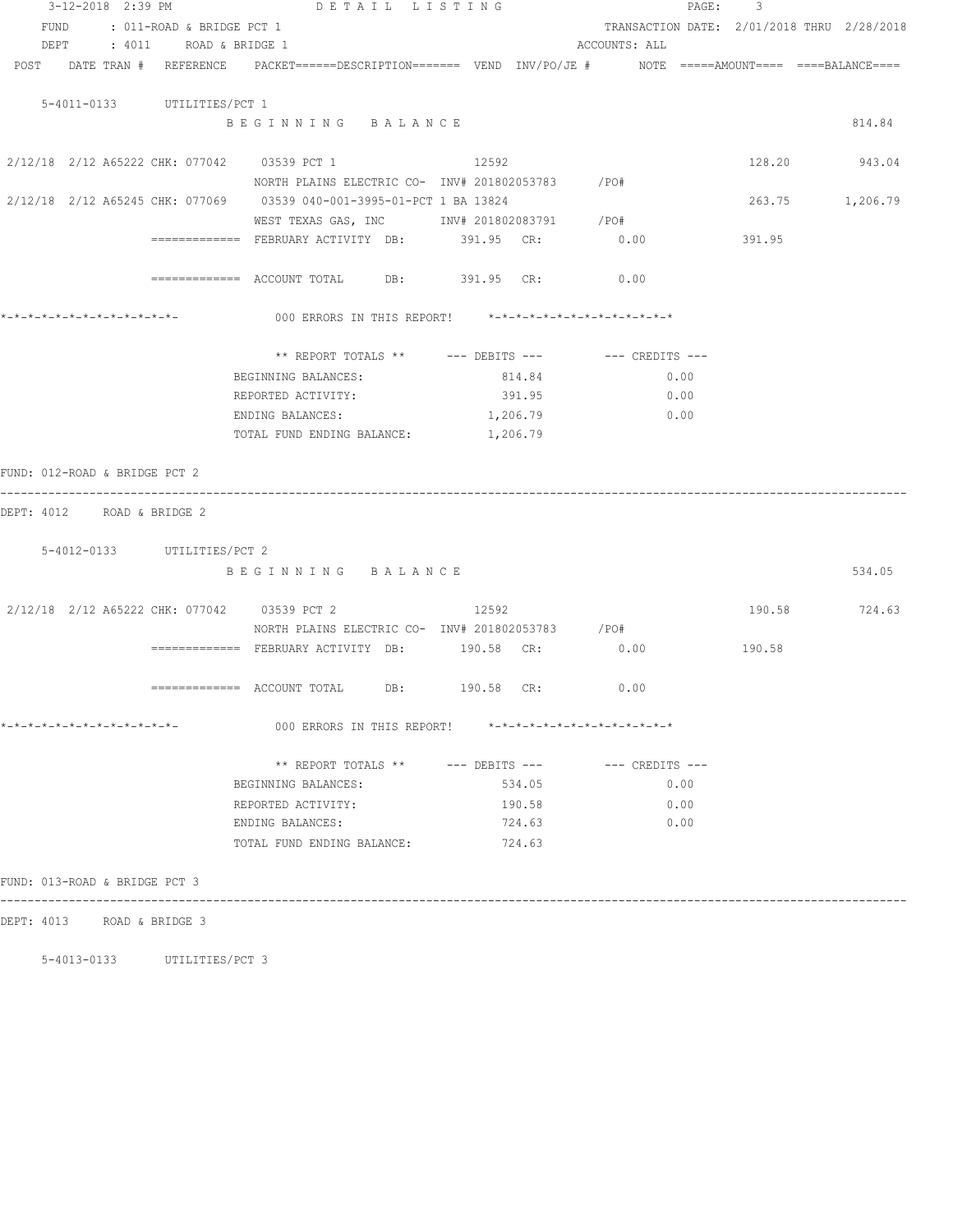| 3-12-2018 2:39 PM             | DETAIL LISTING                                                                          |                                                               |          |               | PAGE: 3                                    |        |
|-------------------------------|-----------------------------------------------------------------------------------------|---------------------------------------------------------------|----------|---------------|--------------------------------------------|--------|
| FUND                          | : 011-ROAD & BRIDGE PCT 1                                                               |                                                               |          |               | TRANSACTION DATE: 2/01/2018 THRU 2/28/2018 |        |
| DEPT : 4011 ROAD & BRIDGE 1   |                                                                                         |                                                               |          | ACCOUNTS: ALL |                                            |        |
| POST DATE TRAN # REFERENCE    | PACKET======DESCRIPTION======= VEND INV/PO/JE #    NOTE =====AMOUNT==== ====BALANCE==== |                                                               |          |               |                                            |        |
|                               |                                                                                         |                                                               |          |               |                                            |        |
| 5-4011-0133 UTILITIES/PCT 1   |                                                                                         |                                                               |          |               |                                            |        |
|                               | BEGINNING BALANCE                                                                       |                                                               |          |               |                                            | 814.84 |
|                               | 2/12/18 2/12 A65222 CHK: 077042 03539 PCT 1                                             | 12592                                                         |          |               | 128.20 943.04                              |        |
|                               | NORTH PLAINS ELECTRIC CO- INV# 201802053783 / PO#                                       |                                                               |          |               |                                            |        |
|                               | 2/12/18 2/12 A65245 CHK: 077069 03539 040-001-3995-01-PCT 1 BA 13824                    |                                                               |          |               | 263.75 1,206.79                            |        |
|                               | WEST TEXAS GAS, INC MONTH 201802083791 / PO#                                            |                                                               |          |               |                                            |        |
|                               | ============= FEBRUARY ACTIVITY DB: 391.95 CR: 0.00                                     |                                                               |          |               | 391.95                                     |        |
|                               | ============= ACCOUNT TOTAL DB: 391.95 CR: 0.00                                         |                                                               |          |               |                                            |        |
| *-*-*-*-*-*-*-*-*-*-*-*-*-*-  | 000 ERRORS IN THIS REPORT! *-*-*-*-*-*-*-*-*-*-*-*-*-*-                                 |                                                               |          |               |                                            |        |
|                               |                                                                                         |                                                               |          |               |                                            |        |
|                               |                                                                                         | ** REPORT TOTALS ** --- DEBITS --- -- CREDITS ---             |          |               |                                            |        |
|                               | BEGINNING BALANCES:                                                                     | 814.84                                                        |          | 0.00          |                                            |        |
|                               | REPORTED ACTIVITY:                                                                      |                                                               | 391.95   | 0.00          |                                            |        |
|                               | ENDING BALANCES:                                                                        |                                                               | 1,206.79 | 0.00          |                                            |        |
|                               | TOTAL FUND ENDING BALANCE:                                                              | 1,206.79                                                      |          |               |                                            |        |
|                               |                                                                                         |                                                               |          |               |                                            |        |
| FUND: 012-ROAD & BRIDGE PCT 2 |                                                                                         |                                                               |          |               |                                            |        |
| DEPT: 4012 ROAD & BRIDGE 2    |                                                                                         |                                                               |          |               |                                            |        |
|                               |                                                                                         |                                                               |          |               |                                            |        |
| 5-4012-0133 UTILITIES/PCT 2   |                                                                                         |                                                               |          |               |                                            |        |
|                               | BEGINNING BALANCE                                                                       |                                                               |          |               |                                            | 534.05 |
|                               | 2/12/18 2/12 A65222 CHK: 077042 03539 PCT 2                                             | 12592                                                         |          |               | 190.58 724.63                              |        |
|                               | NORTH PLAINS ELECTRIC CO- INV# 201802053783 /PO#                                        |                                                               |          |               |                                            |        |
|                               |                                                                                         |                                                               |          |               | 190.58                                     |        |
|                               |                                                                                         |                                                               |          |               |                                            |        |
|                               | ============= ACCOUNT TOTAL DB: 190.58 CR:                                              |                                                               |          | 0.00          |                                            |        |
| *-*-*-*-*-*-*-*-*-*-*-*-*-*-  |                                                                                         | 000 ERRORS IN THIS REPORT! $*-*-*-*-*-*-*-*-*-*-*-*-*-*-*-**$ |          |               |                                            |        |
|                               |                                                                                         | ** REPORT TOTALS ** --- DEBITS --- -- -- CREDITS ---          |          |               |                                            |        |
|                               | BEGINNING BALANCES:                                                                     |                                                               | 534.05   | 0.00          |                                            |        |
|                               | REPORTED ACTIVITY:                                                                      |                                                               | 190.58   | 0.00          |                                            |        |
|                               | ENDING BALANCES:                                                                        |                                                               | 724.63   | 0.00          |                                            |        |
|                               | TOTAL FUND ENDING BALANCE:                                                              |                                                               | 724.63   |               |                                            |        |
| FUND: 013-ROAD & BRIDGE PCT 3 |                                                                                         |                                                               |          |               |                                            |        |
|                               |                                                                                         |                                                               |          |               |                                            |        |
| DEPT: 4013 ROAD & BRIDGE 3    |                                                                                         |                                                               |          |               |                                            |        |

5-4013-0133 UTILITIES/PCT 3